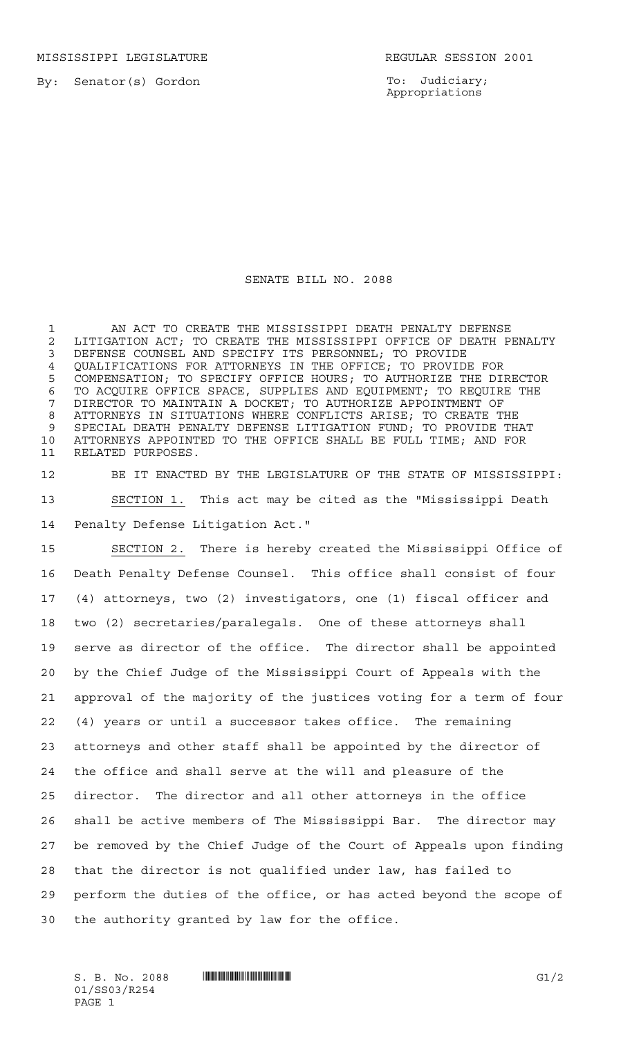MISSISSIPPI LEGISLATURE **REGULAR SESSION 2001** 

To: Judiciary; Appropriations

## SENATE BILL NO. 2088

 AN ACT TO CREATE THE MISSISSIPPI DEATH PENALTY DEFENSE 2 LITIGATION ACT; TO CREATE THE MISSISSIPPI OFFICE OF DEATH PENALTY<br>3 DEFENSE COUNSEL AND SPECIFY ITS PERSONNEL: TO PROVIDE DEFENSE COUNSEL AND SPECIFY ITS PERSONNEL; TO PROVIDE QUALIFICATIONS FOR ATTORNEYS IN THE OFFICE; TO PROVIDE FOR COMPENSATION; TO SPECIFY OFFICE HOURS; TO AUTHORIZE THE DIRECTOR TO ACQUIRE OFFICE SPACE, SUPPLIES AND EQUIPMENT; TO REQUIRE THE DIRECTOR TO MAINTAIN A DOCKET; TO AUTHORIZE APPOINTMENT OF ATTORNEYS IN SITUATIONS WHERE CONFLICTS ARISE; TO CREATE THE SPECIAL DEATH PENALTY DEFENSE LITIGATION FUND; TO PROVIDE THAT ATTORNEYS APPOINTED TO THE OFFICE SHALL BE FULL TIME; AND FOR RELATED PURPOSES.

 BE IT ENACTED BY THE LEGISLATURE OF THE STATE OF MISSISSIPPI: SECTION 1. This act may be cited as the "Mississippi Death Penalty Defense Litigation Act."

 SECTION 2. There is hereby created the Mississippi Office of Death Penalty Defense Counsel. This office shall consist of four (4) attorneys, two (2) investigators, one (1) fiscal officer and two (2) secretaries/paralegals. One of these attorneys shall serve as director of the office. The director shall be appointed by the Chief Judge of the Mississippi Court of Appeals with the approval of the majority of the justices voting for a term of four (4) years or until a successor takes office. The remaining attorneys and other staff shall be appointed by the director of the office and shall serve at the will and pleasure of the director. The director and all other attorneys in the office shall be active members of The Mississippi Bar. The director may be removed by the Chief Judge of the Court of Appeals upon finding that the director is not qualified under law, has failed to perform the duties of the office, or has acted beyond the scope of the authority granted by law for the office.

01/SS03/R254 PAGE 1

 $S. B. No. 2088$  **INNIFICANTILA IN THE EXAMPLE ASSESSED ASSESSED ASSOCIATE**  $GI/2$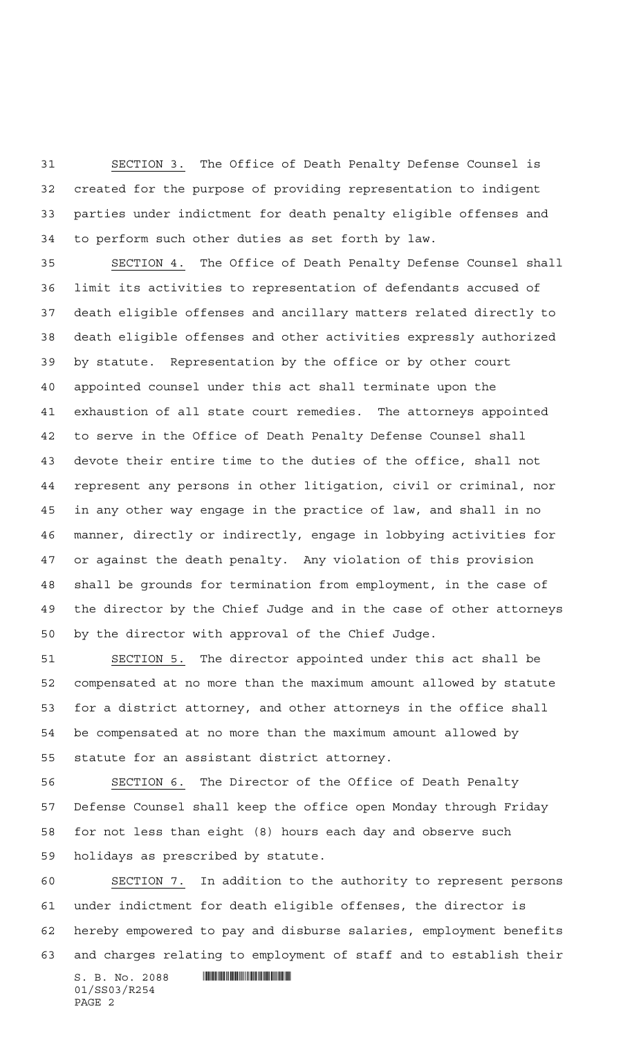SECTION 3. The Office of Death Penalty Defense Counsel is created for the purpose of providing representation to indigent parties under indictment for death penalty eligible offenses and to perform such other duties as set forth by law.

 SECTION 4. The Office of Death Penalty Defense Counsel shall limit its activities to representation of defendants accused of death eligible offenses and ancillary matters related directly to death eligible offenses and other activities expressly authorized by statute. Representation by the office or by other court appointed counsel under this act shall terminate upon the exhaustion of all state court remedies. The attorneys appointed to serve in the Office of Death Penalty Defense Counsel shall devote their entire time to the duties of the office, shall not represent any persons in other litigation, civil or criminal, nor in any other way engage in the practice of law, and shall in no manner, directly or indirectly, engage in lobbying activities for or against the death penalty. Any violation of this provision shall be grounds for termination from employment, in the case of the director by the Chief Judge and in the case of other attorneys by the director with approval of the Chief Judge.

 SECTION 5. The director appointed under this act shall be compensated at no more than the maximum amount allowed by statute for a district attorney, and other attorneys in the office shall be compensated at no more than the maximum amount allowed by statute for an assistant district attorney.

 SECTION 6. The Director of the Office of Death Penalty Defense Counsel shall keep the office open Monday through Friday for not less than eight (8) hours each day and observe such holidays as prescribed by statute.

 SECTION 7. In addition to the authority to represent persons under indictment for death eligible offenses, the director is hereby empowered to pay and disburse salaries, employment benefits and charges relating to employment of staff and to establish their

 $S. B. No. 2088$  . The set of the set of  $\sim$  500  $\mu$  set of  $\sim$  500  $\mu$  set of  $\sim$  500  $\mu$  set of  $\mu$  set of  $\sim$  500  $\mu$  set of  $\mu$  set of  $\mu$  set of  $\mu$  set of  $\mu$  set of  $\mu$  set of  $\mu$  set of  $\mu$  set of  $\mu$ 01/SS03/R254 PAGE 2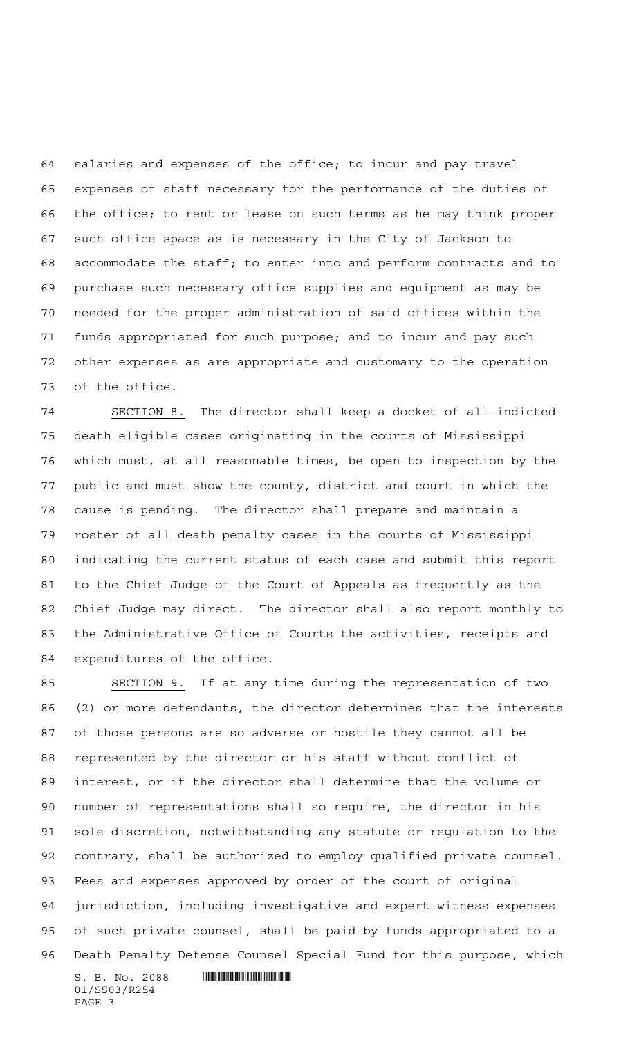salaries and expenses of the office; to incur and pay travel expenses of staff necessary for the performance of the duties of the office; to rent or lease on such terms as he may think proper such office space as is necessary in the City of Jackson to accommodate the staff; to enter into and perform contracts and to purchase such necessary office supplies and equipment as may be needed for the proper administration of said offices within the funds appropriated for such purpose; and to incur and pay such other expenses as are appropriate and customary to the operation of the office.

 SECTION 8. The director shall keep a docket of all indicted death eligible cases originating in the courts of Mississippi which must, at all reasonable times, be open to inspection by the public and must show the county, district and court in which the cause is pending. The director shall prepare and maintain a roster of all death penalty cases in the courts of Mississippi indicating the current status of each case and submit this report to the Chief Judge of the Court of Appeals as frequently as the Chief Judge may direct. The director shall also report monthly to the Administrative Office of Courts the activities, receipts and expenditures of the office.

 SECTION 9. If at any time during the representation of two (2) or more defendants, the director determines that the interests of those persons are so adverse or hostile they cannot all be represented by the director or his staff without conflict of interest, or if the director shall determine that the volume or number of representations shall so require, the director in his sole discretion, notwithstanding any statute or regulation to the contrary, shall be authorized to employ qualified private counsel. Fees and expenses approved by order of the court of original jurisdiction, including investigative and expert witness expenses of such private counsel, shall be paid by funds appropriated to a Death Penalty Defense Counsel Special Fund for this purpose, which

 $S. B. No. 2088$  .  $\blacksquare$ 01/SS03/R254 PAGE 3